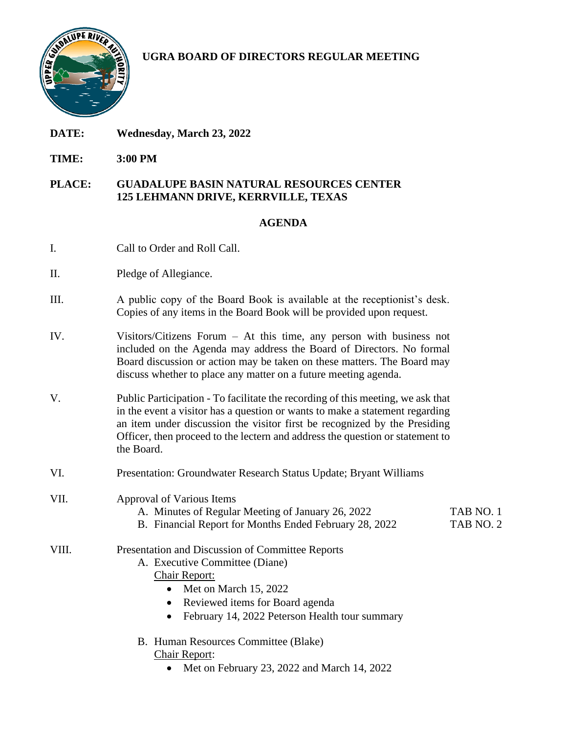

# **UGRA BOARD OF DIRECTORS REGULAR MEETING**

- **DATE: Wednesday, March 23, 2022**
- **TIME: 3:00 PM**
- **PLACE: GUADALUPE BASIN NATURAL RESOURCES CENTER 125 LEHMANN DRIVE, KERRVILLE, TEXAS**

#### **AGENDA**

- I. Call to Order and Roll Call.
- II. Pledge of Allegiance.
- III. A public copy of the Board Book is available at the receptionist's desk. Copies of any items in the Board Book will be provided upon request.
- IV. Visitors/Citizens Forum At this time, any person with business not included on the Agenda may address the Board of Directors. No formal Board discussion or action may be taken on these matters. The Board may discuss whether to place any matter on a future meeting agenda.
- V. Public Participation To facilitate the recording of this meeting, we ask that in the event a visitor has a question or wants to make a statement regarding an item under discussion the visitor first be recognized by the Presiding Officer, then proceed to the lectern and address the question or statement to the Board.
- VI. Presentation: Groundwater Research Status Update; Bryant Williams
- VII. Approval of Various Items
	- A. Minutes of Regular Meeting of January 26, 2022 TAB NO. 1
	- B. Financial Report for Months Ended February 28, 2022 TAB NO. 2

### VIII. Presentation and Discussion of Committee Reports

- A. Executive Committee (Diane)
	- Chair Report:
		- Met on March 15, 2022
		- Reviewed items for Board agenda
		- February 14, 2022 Peterson Health tour summary
- B. Human Resources Committee (Blake)
	- Chair Report:
		- Met on February 23, 2022 and March 14, 2022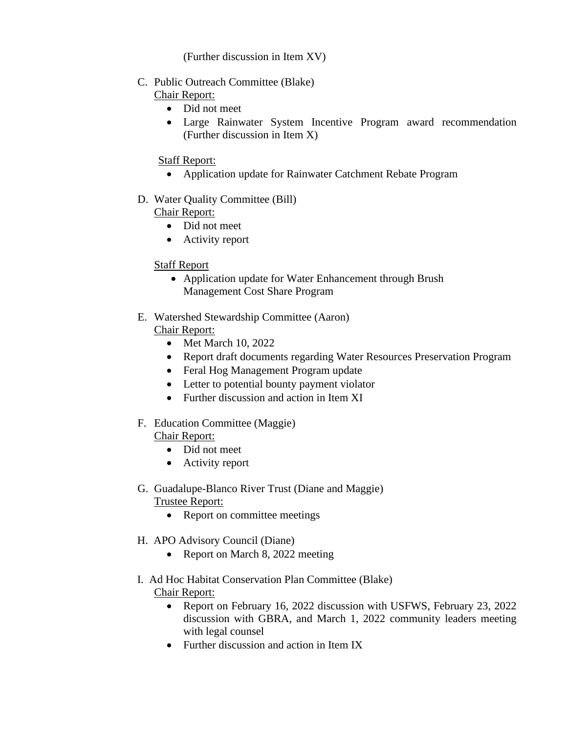### (Further discussion in Item XV)

- C. Public Outreach Committee (Blake)
	- Chair Report:
		- Did not meet
		- Large Rainwater System Incentive Program award recommendation (Further discussion in Item X)

### Staff Report:

- Application update for Rainwater Catchment Rebate Program
- D. Water Quality Committee (Bill)

## Chair Report:

- Did not meet
- Activity report

## Staff Report

- Application update for Water Enhancement through Brush Management Cost Share Program
- E. Watershed Stewardship Committee (Aaron) Chair Report:
	- Met March 10, 2022
	- Report draft documents regarding Water Resources Preservation Program
	- Feral Hog Management Program update
	- Letter to potential bounty payment violator
	- Further discussion and action in Item XI
- F. Education Committee (Maggie) Chair Report:
	- Did not meet
	- Activity report
- G. Guadalupe-Blanco River Trust (Diane and Maggie)

### Trustee Report:

- Report on committee meetings
- H. APO Advisory Council (Diane)
	- Report on March 8, 2022 meeting
- I. Ad Hoc Habitat Conservation Plan Committee (Blake)
	- Chair Report:
		- Report on February 16, 2022 discussion with USFWS, February 23, 2022 discussion with GBRA, and March 1, 2022 community leaders meeting with legal counsel
		- Further discussion and action in Item IX